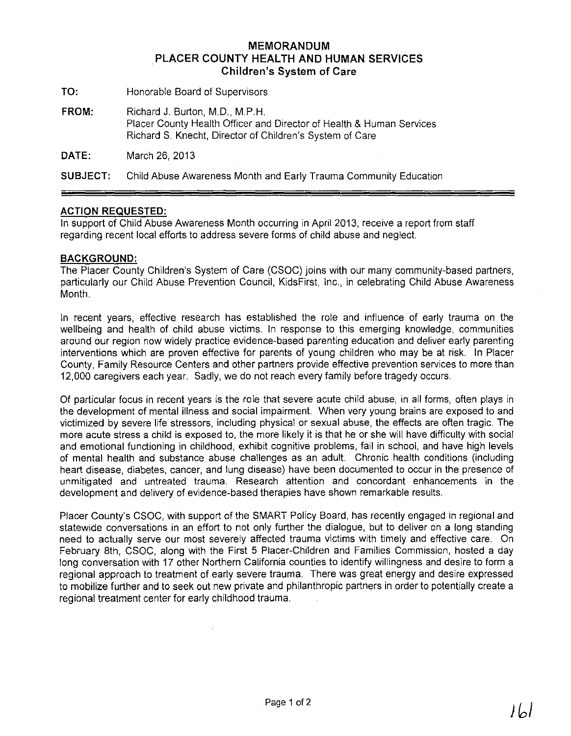## **MEMORANDUM PLACER COUNTY HEALTH AND HUMAN SERVICES Children's System of Care**

- **TO:** Honorable Board of Supervisors
- **FROM:** Richard J. Burton, M.D., MP.H. Placer County Health Officer and Director of Health & Human Services Richard S. Knecht, Director of Children's System of Care

**DATE:** March 26, 2013

**SUBJECT:** Child Abuse Awareness Month and Early Trauma Community Education

## **ACTION REQUESTED:**

In support of Child Abuse Awareness Month occurring in April 2013, receive a report from staff regarding recent local efforts to address severe forms of child abuse and neglect.

## **BACKGROUND:**

The Placer County Children's System of Care (CSOC) joins with our many community-based partners, particularly our Child Abuse Prevention Council, KidsFirst, Inc., in celebrating Child Abuse Awareness Month.

In recent years, effective research has established the role and influence of early trauma on the wellbeing and health of child abuse victims. In response to this emerging knowledge, communities around our region now Widely practice evidence-based parenting education and deliver early parenting interventions which are proven effective for parents of young children who may be at risk. In Placer County, Family Resource Centers and other partners provide effective prevention services to more than 12,000 caregivers each year. Sadly, we do not reach every family before tragedy occurs.

Of particular focus in recent years is the role that severe acute child abuse, in all forms, often plays in the development of mental illness and social impairment. When very young brains are exposed to and victimized by severe life stressors, including physical or sexual abuse, the effects are often tragic. The more acute stress a child is exposed to, the more likely it is that he or she will have difficulty with social and emotional functioning in childhood, exhibit cognitive problems, fail in school, and have high levels of mental health and substance abuse challenges as an adult. Chronic health conditions (including heart disease, diabetes, cancer, and lung disease) have been documented to occur in the presence of unmitigated and untreated trauma. Research attention and concordant enhancements in the development and delivery of evidence-based therapies have shown remarkable results.

Placer County's CSOC, with support of the SMART Policy Board, has recently engaged in regional and statewide conversations in an effort to not only further the dialogue, but to deliver on a long standing need to actually serve our most severely affected trauma victims with timely and effective care. On February 8th, CSOC, along with the First 5 Placer-Children and Families Commission, hosted a day long conversation with 17 other Northern California counties to identify willingness and desire to form a regional approach to treatment of early severe trauma. There was great energy and desire expressed to mobilize further and to seek out new private and philanthropic partners in order to potentially create a regional treatment center for early childhood trauma.